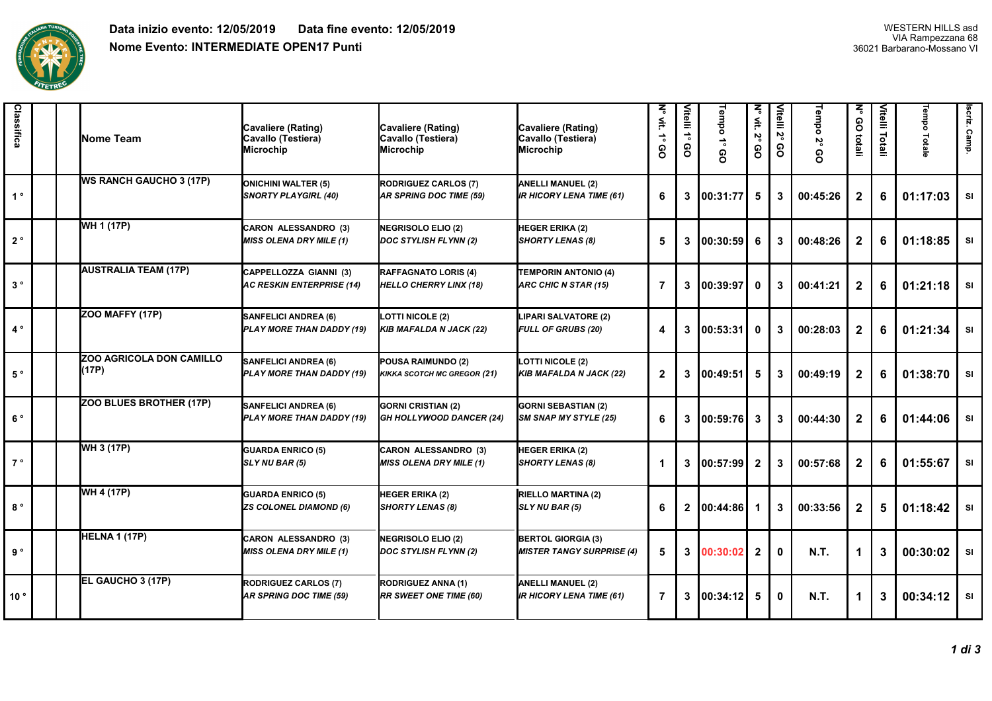

| Classifica     |  | <b>Nome Team</b>                         | Cavaliere (Rating)<br>Cavallo (Testiera)<br><b>Microchip</b>  | Cavaliere (Rating)<br>Cavallo (Testiera)<br><b>Microchip</b> | Cavaliere (Rating)<br>Cavallo (Testiera)<br>Microchip         | N° vit.<br>$\stackrel{\scriptscriptstyle\bullet}{\scriptscriptstyle\bullet}$<br>စ္ပ | Vitelli 1°<br>8 | Tempo 1°<br>၉ | N <sub>o Vit</sub> .<br>η<br>8 | Vitelli 2°<br>၉ | Tempo<br>š<br>8 | ξ<br>GO totali | Vitelli Totali | Tempo Totale | scriz. Camp. |
|----------------|--|------------------------------------------|---------------------------------------------------------------|--------------------------------------------------------------|---------------------------------------------------------------|-------------------------------------------------------------------------------------|-----------------|---------------|--------------------------------|-----------------|-----------------|----------------|----------------|--------------|--------------|
| 1 <sup>°</sup> |  | <b>WS RANCH GAUCHO 3 (17P)</b>           | <b>ONICHINI WALTER (5)</b><br><b>SNORTY PLAYGIRL (40)</b>     | RODRIGUEZ CARLOS (7)<br>AR SPRING DOC TIME (59)              | ANELLI MANUEL (2)<br><b>IR HICORY LENA TIME (61)</b>          | 6                                                                                   | 3               | 00:31:77      | 5                              | 3               | 00:45:26        | $\mathbf{2}$   | 6              | 01:17:03     | <b>SI</b>    |
| $2^{\circ}$    |  | WH 1 (17P)                               | <b>CARON ALESSANDRO (3)</b><br><b>MISS OLENA DRY MILE (1)</b> | NEGRISOLO ELIO (2)<br>DOC STYLISH FLYNN (2)                  | <b>HEGER ERIKA (2)</b><br><b>SHORTY LENAS (8)</b>             | 5                                                                                   | 3               | 00:30:59      | 6                              | 3               | 00:48:26        | $\mathbf{2}$   | 6              | 01:18:85     | SI           |
| $3^{\circ}$    |  | <b>AUSTRALIA TEAM (17P)</b>              | CAPPELLOZZA GIANNI (3)<br><b>AC RESKIN ENTERPRISE (14)</b>    | RAFFAGNATO LORIS (4)<br><b>HELLO CHERRY LINX (18)</b>        | <b>TEMPORIN ANTONIO (4)</b><br>ARC CHIC N STAR (15)           | $\overline{7}$                                                                      | 3               | 00:39:97      | $\mathbf{0}$                   | 3               | 00:41:21        | $\mathbf{2}$   | 6              | 01:21:18     | <b>SI</b>    |
| $4^{\circ}$    |  | ZOO MAFFY (17P)                          | <b>SANFELICI ANDREA (6)</b><br>PLAY MORE THAN DADDY (19)      | <b>LOTTI NICOLE (2)</b><br>KIB MAFALDA N JACK (22)           | LIPARI SALVATORE (2)<br>FULL OF GRUBS (20)                    | 4                                                                                   | 3               | 00:53:31      | $\mathbf 0$                    | 3               | 00:28:03        | $\mathbf{2}$   | 6              | 01:21:34     | SI           |
| $5^{\circ}$    |  | <b>ZOO AGRICOLA DON CAMILLO</b><br>(17P) | <b>SANFELICI ANDREA (6)</b><br>PLAY MORE THAN DADDY (19)      | <b>POUSA RAIMUNDO (2)</b><br>KIKKA SCOTCH MC GREGOR (21)     | <b>LOTTI NICOLE (2)</b><br><b>KIB MAFALDA N JACK (22)</b>     | $\mathbf{2}$                                                                        | 3               | 00:49:51      | 5                              | 3               | 00:49:19        | $\mathbf{2}$   | 6              | 01:38:70     | SI           |
| $6^{\circ}$    |  | ZOO BLUES BROTHER (17P)                  | <b>SANFELICI ANDREA (6)</b><br>PLAY MORE THAN DADDY (19)      | <b>GORNI CRISTIAN (2)</b><br>GH HOLLYWOOD DANCER (24)        | <b>GORNI SEBASTIAN (2)</b><br>SM SNAP MY STYLE (25)           | 6                                                                                   | $\mathbf{3}$    | 00:59:76      | $\mathbf{3}$                   | 3               | 00:44:30        | $\mathbf{2}$   | 6              | 01:44:06     | <b>SI</b>    |
| $7^{\circ}$    |  | WH 3 (17P)                               | <b>GUARDA ENRICO (5)</b><br>SLY NU BAR (5)                    | CARON ALESSANDRO (3)<br><b>MISS OLENA DRY MILE (1)</b>       | <b>HEGER ERIKA (2)</b><br><b>SHORTY LENAS (8)</b>             | 1                                                                                   | 3               | 00:57:99 L    | $\overline{2}$                 | 3               | 00:57:68        | $\mathbf{2}$   | 6              | 01:55:67     | <b>SI</b>    |
| $8^{\circ}$    |  | <b>WH 4 (17P)</b>                        | <b>GUARDA ENRICO (5)</b><br><b>ZS COLONEL DIAMOND (6)</b>     | <b>HEGER ERIKA (2)</b><br><b>SHORTY LENAS (8)</b>            | RIELLO MARTINA (2)<br>SLY NU BAR (5)                          | 6                                                                                   | $\mathbf{2}$    | 00:44:86      |                                | 3               | 00:33:56        | $\mathbf{2}$   | 5              | 01:18:42     | <b>SI</b>    |
| 9°             |  | HELNA 1 (17P)                            | <b>CARON ALESSANDRO (3)</b><br><b>MISS OLENA DRY MILE (1)</b> | NEGRISOLO ELIO (2)<br>DOC STYLISH FLYNN (2)                  | <b>BERTOL GIORGIA (3)</b><br><b>MISTER TANGY SURPRISE (4)</b> | 5                                                                                   | $\mathbf{3}$    | 00:30:02      | $\overline{2}$                 | 0               | <b>N.T.</b>     | $\mathbf 1$    | $\mathbf{3}$   | 00:30:02     | SI           |
| 10°            |  | EL GAUCHO 3 (17P)                        | <b>RODRIGUEZ CARLOS (7)</b><br><b>AR SPRING DOC TIME (59)</b> | <b>RODRIGUEZ ANNA (1)</b><br><b>RR SWEET ONE TIME (60)</b>   | <b>ANELLI MANUEL (2)</b><br><b>IR HICORY LENA TIME (61)</b>   | $\overline{7}$                                                                      | 3               | 00:34:12      | 5                              | 0               | <b>N.T.</b>     | 1              | $\mathbf{3}$   | 00:34:12     | <b>SI</b>    |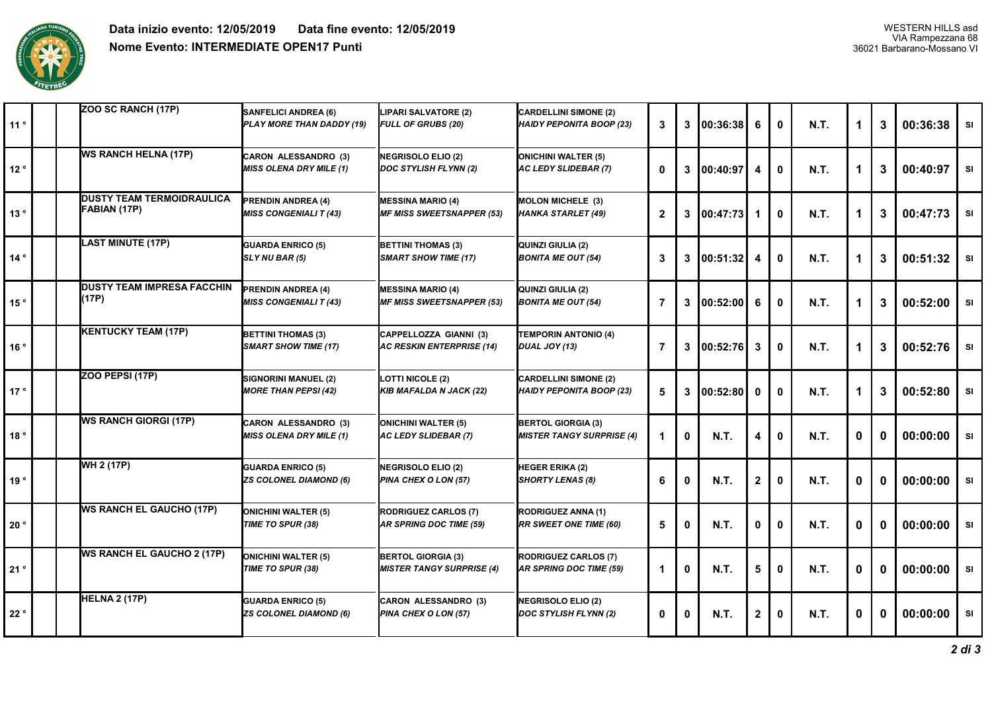

| 11° |  | ZOO SC RANCH (17P)                               | <b>SANFELICI ANDREA (6)</b><br>PLAY MORE THAN DADDY (19)      | LIPARI SALVATORE (2)<br>FULL OF GRUBS (20)                    | <b>CARDELLINI SIMONE (2)</b><br>HAIDY PEPONITA BOOP (23)      | 3              | 3            | 100:36:38   | 6            | $\mathbf{0}$ | <b>N.T.</b> |              | 3 | 00:36:38 | <b>SI</b> |
|-----|--|--------------------------------------------------|---------------------------------------------------------------|---------------------------------------------------------------|---------------------------------------------------------------|----------------|--------------|-------------|--------------|--------------|-------------|--------------|---|----------|-----------|
| 12° |  | <b>WS RANCH HELNA (17P)</b>                      | <b>CARON ALESSANDRO (3)</b><br><b>MISS OLENA DRY MILE (1)</b> | NEGRISOLO ELIO (2)<br>DOC STYLISH FLYNN (2)                   | <b>ONICHINI WALTER (5)</b><br>AC LEDY SLIDEBAR (7)            | $\mathbf{0}$   | 3            | 00:40:97    | 4            | $\mathbf{0}$ | <b>N.T.</b> | 1            | 3 | 00:40:97 | <b>SI</b> |
| 13° |  | <b>DUSTY TEAM TERMOIDRAULICA</b><br>FABIAN (17P) | <b>PRENDIN ANDREA (4)</b><br><b>MISS CONGENIALI T (43)</b>    | <b>MESSINA MARIO (4)</b><br><b>MF MISS SWEETSNAPPER (53)</b>  | <b>MOLON MICHELE (3)</b><br>HANKA STARLET (49)                | $\overline{2}$ | $\mathbf{3}$ | 00:47:73    |              | $\mathbf{0}$ | <b>N.T.</b> | 1            | 3 | 00:47:73 | SI        |
| 14° |  | <b>LAST MINUTE (17P)</b>                         | <b>GUARDA ENRICO (5)</b><br>SLY NU BAR (5)                    | <b>BETTINI THOMAS (3)</b><br><b>SMART SHOW TIME (17)</b>      | <b>QUINZI GIULIA (2)</b><br><b>BONITA ME OUT (54)</b>         | 3              | $\mathbf{3}$ | 00:51:32    | 4            | $\mathbf{0}$ | <b>N.T.</b> | 1            | 3 | 00:51:32 | <b>SI</b> |
| 15° |  | <b>DUSTY TEAM IMPRESA FACCHIN</b><br>(17P)       | <b>PRENDIN ANDREA (4)</b><br><b>MISS CONGENIALI T (43)</b>    | <b>MESSINA MARIO (4)</b><br><b>MF MISS SWEETSNAPPER (53)</b>  | <b>QUINZI GIULIA (2)</b><br><b>BONITA ME OUT (54)</b>         | $\overline{7}$ | $\mathbf{3}$ | 00:52:00    | 6            | $\mathbf{0}$ | <b>N.T.</b> | 1            | 3 | 00:52:00 | SI        |
| 16° |  | <b>KENTUCKY TEAM (17P)</b>                       | <b>BETTINI THOMAS (3)</b><br><b>SMART SHOW TIME (17)</b>      | CAPPELLOZZA GIANNI (3)<br><b>AC RESKIN ENTERPRISE (14)</b>    | <b>TEMPORIN ANTONIO (4)</b><br>DUAL JOY (13)                  | $\overline{7}$ | 3            | 00:52:76    | 3            | $\mathbf{0}$ | <b>N.T.</b> | 1            | 3 | 00:52:76 | <b>SI</b> |
| 17° |  | ZOO PEPSI (17P)                                  | SIGNORINI MANUEL (2)<br><b>MORE THAN PEPSI (42)</b>           | <b>LOTTI NICOLE (2)</b><br><b>KIB MAFALDA N JACK (22)</b>     | <b>CARDELLINI SIMONE (2)</b><br>HAIDY PEPONITA BOOP (23)      | 5              | $\mathbf{3}$ | 00:52:80    | $\mathbf{0}$ | $\mathbf{0}$ | <b>N.T.</b> | 1            | 3 | 00:52:80 | SI        |
| 18° |  | <b>WS RANCH GIORGI (17P)</b>                     | <b>CARON ALESSANDRO (3)</b><br><b>MISS OLENA DRY MILE (1)</b> | <b>ONICHINI WALTER (5)</b><br>AC LEDY SLIDEBAR (7)            | <b>BERTOL GIORGIA (3)</b><br><b>MISTER TANGY SURPRISE (4)</b> | -1             | 0            | <b>N.T.</b> | 4            | $\mathbf{0}$ | <b>N.T.</b> | $\mathbf 0$  | 0 | 00:00:00 | SI        |
| 19° |  | WH 2 (17P)                                       | <b>GUARDA ENRICO (5)</b><br><b>ZS COLONEL DIAMOND (6)</b>     | <b>NEGRISOLO ELIO (2)</b><br>PINA CHEX O LON (57)             | <b>HEGER ERIKA (2)</b><br><b>SHORTY LENAS (8)</b>             | 6              | $\mathbf{0}$ | <b>N.T.</b> | $\mathbf{2}$ | $\mathbf{0}$ | <b>N.T.</b> | $\mathbf{0}$ | 0 | 00:00:00 | SI        |
| 20° |  | <b>WS RANCH EL GAUCHO (17P)</b>                  | <b>ONICHINI WALTER (5)</b><br>TIME TO SPUR (38)               | <b>RODRIGUEZ CARLOS (7)</b><br><b>AR SPRING DOC TIME (59)</b> | <b>RODRIGUEZ ANNA (1)</b><br><b>RR SWEET ONE TIME (60)</b>    | 5              | $\mathbf 0$  | N.T.        | 0            | $\mathbf{0}$ | <b>N.T.</b> | 0            | 0 | 00:00:00 | <b>SI</b> |
| 21° |  | <b>WS RANCH EL GAUCHO 2 (17P)</b>                | <b>ONICHINI WALTER (5)</b><br>TIME TO SPUR (38)               | <b>BERTOL GIORGIA (3)</b><br><b>MISTER TANGY SURPRISE (4)</b> | <b>RODRIGUEZ CARLOS (7)</b><br>AR SPRING DOC TIME (59)        | 1              | $\mathbf 0$  | <b>N.T.</b> | 5            | 0            | <b>N.T.</b> | 0            | 0 | 00:00:00 | <b>SI</b> |
| 22° |  | HELNA 2 (17P)                                    | <b>GUARDA ENRICO (5)</b><br><b>ZS COLONEL DIAMOND (6)</b>     | CARON ALESSANDRO (3)<br>PINA CHEX O LON (57)                  | NEGRISOLO ELIO (2)<br>DOC STYLISH FLYNN (2)                   | $\mathbf 0$    | 0            | <b>N.T.</b> | $\mathbf{2}$ | 0            | <b>N.T.</b> | 0            | 0 | 00:00:00 | <b>SI</b> |